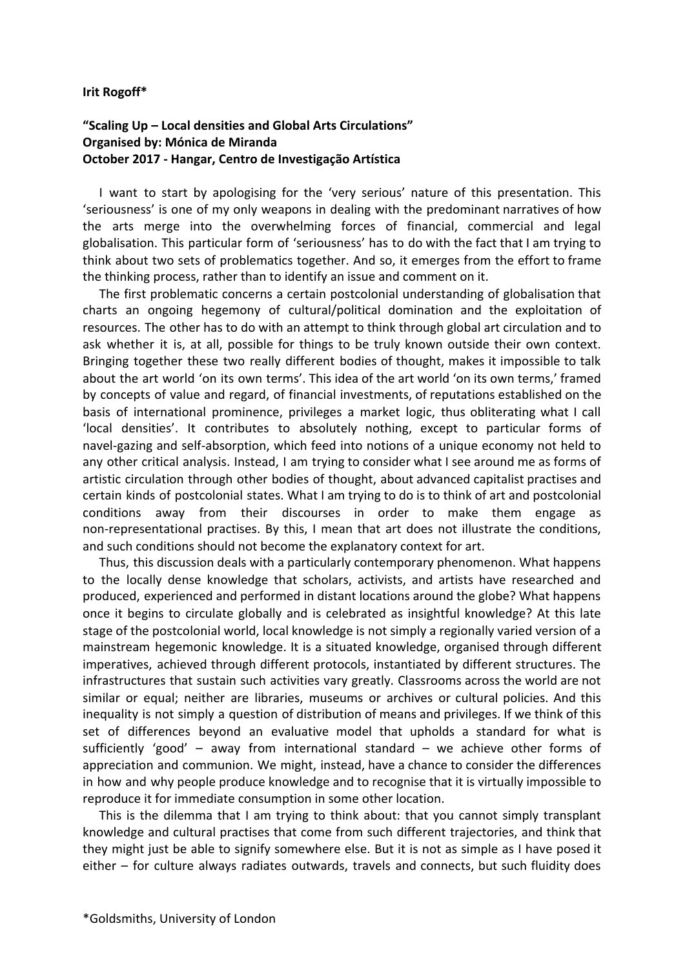## **Irit Rogoff\***

## **"Scaling Up – Local densities and Global Arts Circulations" Organised by: Mónica de Miranda October 2017 - Hangar, Centro de Investigação Artística**

I want to start by apologising for the 'very serious' nature of this presentation. This 'seriousness' is one of my only weapons in dealing with the predominant narratives of how the arts merge into the overwhelming forces of financial, commercial and legal globalisation. This particular form of 'seriousness' has to do with the fact that I am trying to think about two sets of problematics together. And so, it emerges from the effort to frame the thinking process, rather than to identify an issue and comment on it.

The first problematic concerns a certain postcolonial understanding of globalisation that charts an ongoing hegemony of cultural/political domination and the exploitation of resources. The other has to do with an attempt to think through global art circulation and to ask whether it is, at all, possible for things to be truly known outside their own context. Bringing together these two really different bodies of thought, makes it impossible to talk about the art world 'on its own terms'. This idea of the art world 'on its own terms,' framed by concepts of value and regard, of financial investments, of reputations established on the basis of international prominence, privileges a market logic, thus obliterating what I call 'local densities'. It contributes to absolutely nothing, except to particular forms of navel-gazing and self-absorption, which feed into notions of a unique economy not held to any other critical analysis. Instead, I am trying to consider what I see around me as forms of artistic circulation through other bodies of thought, about advanced capitalist practises and certain kinds of postcolonial states. What I am trying to do is to think of art and postcolonial conditions away from their discourses in order to make them engage as non-representational practises. By this, I mean that art does not illustrate the conditions, and such conditions should not become the explanatory context for art.

Thus, this discussion deals with a particularly contemporary phenomenon. What happens to the locally dense knowledge that scholars, activists, and artists have researched and produced, experienced and performed in distant locations around the globe? What happens once it begins to circulate globally and is celebrated as insightful knowledge? At this late stage of the postcolonial world, local knowledge is not simply a regionally varied version of a mainstream hegemonic knowledge. It is a situated knowledge, organised through different imperatives, achieved through different protocols, instantiated by different structures. The infrastructures that sustain such activities vary greatly. Classrooms across the world are not similar or equal; neither are libraries, museums or archives or cultural policies. And this inequality is not simply a question of distribution of means and privileges. If we think of this set of differences beyond an evaluative model that upholds a standard for what is sufficiently 'good' – away from international standard – we achieve other forms of appreciation and communion. We might, instead, have a chance to consider the differences in how and why people produce knowledge and to recognise that it is virtually impossible to reproduce it for immediate consumption in some other location.

This is the dilemma that I am trying to think about: that you cannot simply transplant knowledge and cultural practises that come from such different trajectories, and think that they might just be able to signify somewhere else. But it is not as simple as I have posed it either – for culture always radiates outwards, travels and connects, but such fluidity does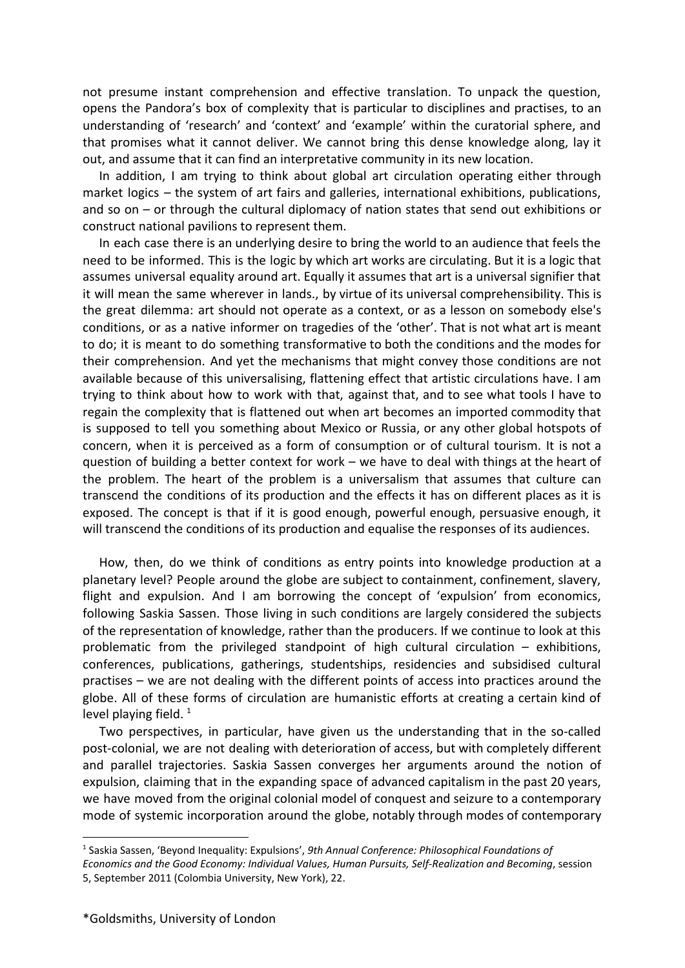not presume instant comprehension and effective translation. To unpack the question, opens the Pandora's box of complexity that is particular to disciplines and practises, to an understanding of 'research' and 'context' and 'example' within the curatorial sphere, and that promises what it cannot deliver. We cannot bring this dense knowledge along, lay it out, and assume that it can find an interpretative community in its new location.

In addition, I am trying to think about global art circulation operating either through market logics – the system of art fairs and galleries, international exhibitions, publications, and so on – or through the cultural diplomacy of nation states that send out exhibitions or construct national pavilions to represent them.

In each case there is an underlying desire to bring the world to an audience that feels the need to be informed. This is the logic by which art works are circulating. But it is a logic that assumes universal equality around art. Equally it assumes that art is a universal signifier that it will mean the same wherever in lands., by virtue of its universal comprehensibility. This is the great dilemma: art should not operate as a context, or as a lesson on somebody else's conditions, or as a native informer on tragedies of the 'other'. That is not what art is meant to do; it is meant to do something transformative to both the conditions and the modes for their comprehension. And yet the mechanisms that might convey those conditions are not available because of this universalising, flattening effect that artistic circulations have. I am trying to think about how to work with that, against that, and to see what tools I have to regain the complexity that is flattened out when art becomes an imported commodity that is supposed to tell you something about Mexico or Russia, or any other global hotspots of concern, when it is perceived as a form of consumption or of cultural tourism. It is not a question of building a better context for work – we have to deal with things at the heart of the problem. The heart of the problem is a universalism that assumes that culture can transcend the conditions of its production and the effects it has on different places as it is exposed. The concept is that if it is good enough, powerful enough, persuasive enough, it will transcend the conditions of its production and equalise the responses of its audiences.

How, then, do we think of conditions as entry points into knowledge production at a planetary level? People around the globe are subject to containment, confinement, slavery, flight and expulsion. And I am borrowing the concept of 'expulsion' from economics, following Saskia Sassen. Those living in such conditions are largely considered the subjects of the representation of knowledge, rather than the producers. If we continue to look at this problematic from the privileged standpoint of high cultural circulation – exhibitions, conferences, publications, gatherings, studentships, residencies and subsidised cultural practises – we are not dealing with the different points of access into practices around the globe. All of these forms of circulation are humanistic efforts at creating a certain kind of level playing field.  $1$ 

Two perspectives, in particular, have given us the understanding that in the so-called post-colonial, we are not dealing with deterioration of access, but with completely different and parallel trajectories. Saskia Sassen converges her arguments around the notion of expulsion, claiming that in the expanding space of advanced capitalism in the past 20 years, we have moved from the original colonial model of conquest and seizure to a contemporary mode of systemic incorporation around the globe, notably through modes of contemporary

<sup>1</sup> Saskia Sassen, 'Beyond Inequality: Expulsions', *9th Annual Conference: Philosophical Foundations of*

*Economics and the Good Economy: Individual Values, Human Pursuits, Self-Realization and Becoming*, session 5, September 2011 (Colombia University, New York), 22.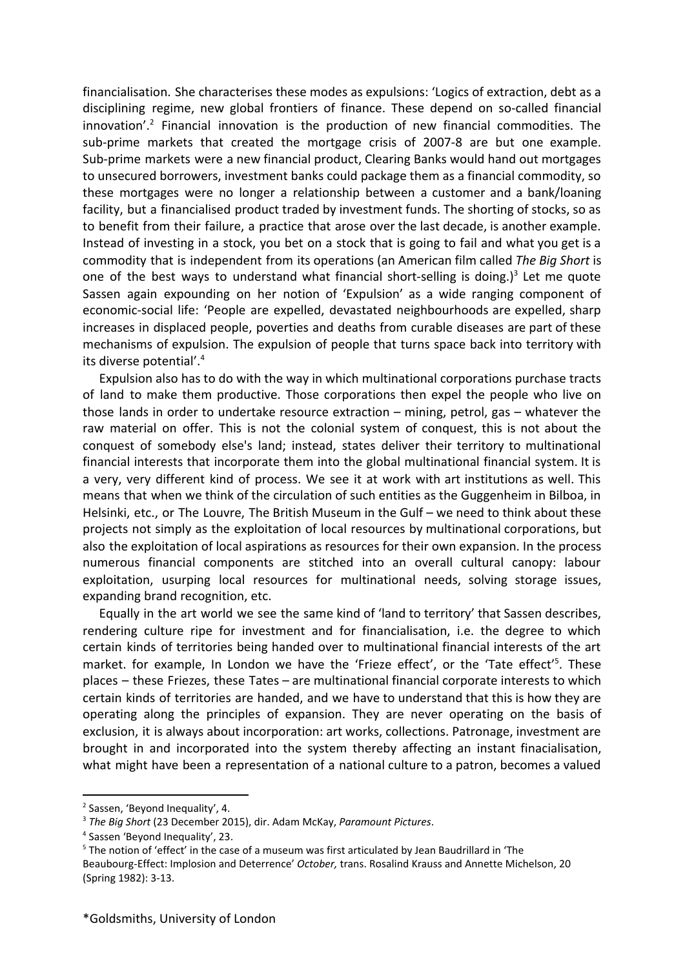financialisation. She characterises these modes as expulsions: 'Logics of extraction, debt as a disciplining regime, new global frontiers of finance. These depend on so-called financial  $inno$   $\mathbf{v}$  Financial innovation is the production of new financial commodities. The sub-prime markets that created the mortgage crisis of 2007-8 are but one example. Sub-prime markets were a new financial product, Clearing Banks would hand out mortgages to unsecured borrowers, investment banks could package them as a financial commodity, so these mortgages were no longer a relationship between a customer and a bank/loaning facility, but a financialised product traded by investment funds. The shorting of stocks, so as to benefit from their failure, a practice that arose over the last decade, is another example. Instead of investing in a stock, you bet on a stock that is going to fail and what you get is a commodity that is independent from its operations (an American film called *The Big Short* is one of the best ways to understand what financial short-selling is doing.)<sup>3</sup> Let me quote Sassen again expounding on her notion of 'Expulsion' as a wide ranging component of economic-social life: 'People are expelled, devastated neighbourhoods are expelled, sharp increases in displaced people, poverties and deaths from curable diseases are part of these mechanisms of expulsion. The expulsion of people that turns space back into territory with its diverse potential'.<sup>4</sup>

Expulsion also has to do with the way in which multinational corporations purchase tracts of land to make them productive. Those corporations then expel the people who live on those lands in order to undertake resource extraction – mining, petrol, gas – whatever the raw material on offer. This is not the colonial system of conquest, this is not about the conquest of somebody else's land; instead, states deliver their territory to multinational financial interests that incorporate them into the global multinational financial system. It is a very, very different kind of process. We see it at work with art institutions as well. This means that when we think of the circulation of such entities as the Guggenheim in Bilboa, in Helsinki, etc., or The Louvre, The British Museum in the Gulf – we need to think about these projects not simply as the exploitation of local resources by multinational corporations, but also the exploitation of local aspirations as resources for their own expansion. In the process numerous financial components are stitched into an overall cultural canopy: labour exploitation, usurping local resources for multinational needs, solving storage issues, expanding brand recognition, etc.

Equally in the art world we see the same kind of 'land to territory' that Sassen describes, rendering culture ripe for investment and for financialisation, i.e. the degree to which certain kinds of territories being handed over to multinational financial interests of the art market. for example, In London we have the 'Frieze effect', or the 'Tate effect'<sup>5</sup>. These places – these Friezes, these Tates – are multinational financial corporate interests to which certain kinds of territories are handed, and we have to understand that this is how they are operating along the principles of expansion. They are never operating on the basis of exclusion, it is always about incorporation: art works, collections. Patronage, investment are brought in and incorporated into the system thereby affecting an instant finacialisation, what might have been a representation of a national culture to a patron, becomes a valued

<sup>2</sup> Sassen, 'Beyond Inequality', 4.

<sup>3</sup> *The Big Short* (23 December 2015), dir. Adam McKay, *Paramount Pictures*.

<sup>4</sup> Sassen 'Beyond Inequality', 23.

<sup>&</sup>lt;sup>5</sup> The notion of 'effect' in the case of a museum was first articulated by Jean Baudrillard in 'The Beaubourg-Effect: Implosion and Deterrence' *October,* trans. Rosalind Krauss and Annette Michelson, 20

<sup>(</sup>Spring 1982): 3-13.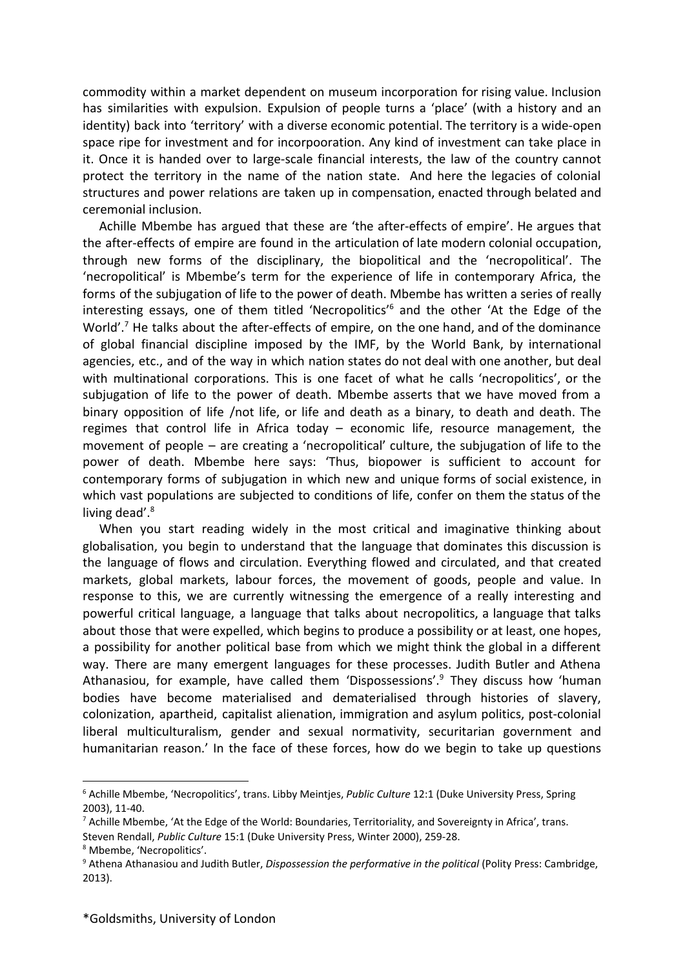commodity within a market dependent on museum incorporation for rising value. Inclusion has similarities with expulsion. Expulsion of people turns a 'place' (with a history and an identity) back into 'territory' with a diverse economic potential. The territory is a wide-open space ripe for investment and for incorpooration. Any kind of investment can take place in it. Once it is handed over to large-scale financial interests, the law of the country cannot protect the territory in the name of the nation state. And here the legacies of colonial structures and power relations are taken up in compensation, enacted through belated and ceremonial inclusion.

Achille Mbembe has argued that these are 'the after-effects of empire'. He argues that the after-effects of empire are found in the articulation of late modern colonial occupation, through new forms of the disciplinary, the biopolitical and the 'necropolitical'. The 'necropolitical' is Mbembe's term for the experience of life in contemporary Africa, the forms of the subjugation of life to the power of death. Mbembe has written a series of really interesting essays, one of them titled 'Necropolitics'<sup>6</sup> and the other 'At the Edge of the World'.<sup>7</sup> He talks about the after-effects of empire, on the one hand, and of the dominance of global financial discipline imposed by the IMF, by the World Bank, by international agencies, etc., and of the way in which nation states do not deal with one another, but deal with multinational corporations. This is one facet of what he calls 'necropolitics', or the subjugation of life to the power of death. Mbembe asserts that we have moved from a binary opposition of life /not life, or life and death as a binary, to death and death. The regimes that control life in Africa today – economic life, resource management, the movement of people – are creating a 'necropolitical' culture, the subjugation of life to the power of death. Mbembe here says: 'Thus, biopower is sufficient to account for contemporary forms of subjugation in which new and unique forms of social existence, in which vast populations are subjected to conditions of life, confer on them the status of the living dead'.<sup>8</sup>

When you start reading widely in the most critical and imaginative thinking about globalisation, you begin to understand that the language that dominates this discussion is the language of flows and circulation. Everything flowed and circulated, and that created markets, global markets, labour forces, the movement of goods, people and value. In response to this, we are currently witnessing the emergence of a really interesting and powerful critical language, a language that talks about necropolitics, a language that talks about those that were expelled, which begins to produce a possibility or at least, one hopes, a possibility for another political base from which we might think the global in a different way. There are many emergent languages for these processes. Judith Butler and Athena Athanasiou, for example, have called them 'Dispossessions'.<sup>9</sup> They discuss how 'human bodies have become materialised and dematerialised through histories of slavery, colonization, apartheid, capitalist alienation, immigration and asylum politics, post-colonial liberal multiculturalism, gender and sexual normativity, securitarian government and humanitarian reason.' In the face of these forces, how do we begin to take up questions

<sup>6</sup> Achille Mbembe, 'Necropolitics', trans. Libby Meintjes, *Public Culture* 12:1 (Duke University Press, Spring 2003), 11-40.

 $<sup>7</sup>$  Achille Mbembe, 'At the Edge of the World: Boundaries, Territoriality, and Sovereignty in Africa', trans.</sup> Steven Rendall, *Public Culture* 15:1 (Duke University Press, Winter 2000), 259-28.

<sup>8</sup> Mbembe, 'Necropolitics'.

<sup>9</sup> Athena Athanasiou and Judith Butler, *Dispossession the performative in the political* (Polity Press: Cambridge, 2013).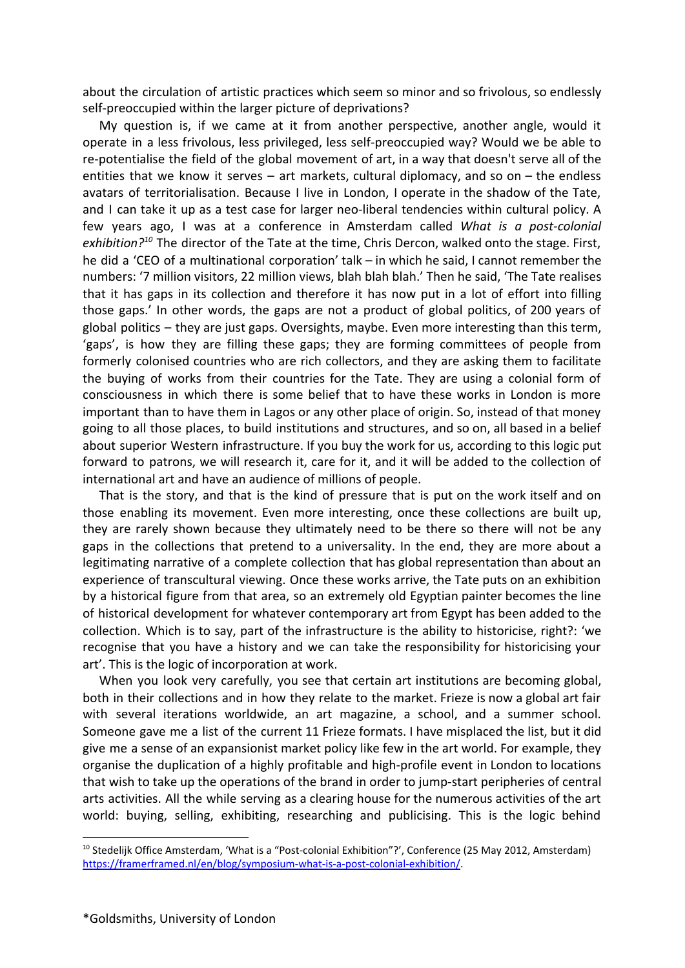about the circulation of artistic practices which seem so minor and so frivolous, so endlessly self-preoccupied within the larger picture of deprivations?

My question is, if we came at it from another perspective, another angle, would it operate in a less frivolous, less privileged, less self-preoccupied way? Would we be able to re-potentialise the field of the global movement of art, in a way that doesn't serve all of the entities that we know it serves  $-$  art markets, cultural diplomacy, and so on  $-$  the endless avatars of territorialisation. Because I live in London, I operate in the shadow of the Tate, and I can take it up as a test case for larger neo-liberal tendencies within cultural policy. A few years ago, I was at a conference in Amsterdam called *What is a post-colonial exhibition?<sup>10</sup>* The director of the Tate at the time, Chris Dercon, walked onto the stage. First, he did a 'CEO of a multinational corporation' talk – in which he said, I cannot remember the numbers: '7 million visitors, 22 million views, blah blah blah.' Then he said, 'The Tate realises that it has gaps in its collection and therefore it has now put in a lot of effort into filling those gaps.' In other words, the gaps are not a product of global politics, of 200 years of global politics – they are just gaps. Oversights, maybe. Even more interesting than this term, 'gaps', is how they are filling these gaps; they are forming committees of people from formerly colonised countries who are rich collectors, and they are asking them to facilitate the buying of works from their countries for the Tate. They are using a colonial form of consciousness in which there is some belief that to have these works in London is more important than to have them in Lagos or any other place of origin. So, instead of that money going to all those places, to build institutions and structures, and so on, all based in a belief about superior Western infrastructure. If you buy the work for us, according to this logic put forward to patrons, we will research it, care for it, and it will be added to the collection of international art and have an audience of millions of people.

That is the story, and that is the kind of pressure that is put on the work itself and on those enabling its movement. Even more interesting, once these collections are built up, they are rarely shown because they ultimately need to be there so there will not be any gaps in the collections that pretend to a universality. In the end, they are more about a legitimating narrative of a complete collection that has global representation than about an experience of transcultural viewing. Once these works arrive, the Tate puts on an exhibition by a historical figure from that area, so an extremely old Egyptian painter becomes the line of historical development for whatever contemporary art from Egypt has been added to the collection. Which is to say, part of the infrastructure is the ability to historicise, right?: 'we recognise that you have a history and we can take the responsibility for historicising your art'. This is the logic of incorporation at work.

When you look very carefully, you see that certain art institutions are becoming global, both in their collections and in how they relate to the market. Frieze is now a global art fair with several iterations worldwide, an art magazine, a school, and a summer school. Someone gave me a list of the current 11 Frieze formats. I have misplaced the list, but it did give me a sense of an expansionist market policy like few in the art world. For example, they organise the duplication of a highly profitable and high-profile event in London to locations that wish to take up the operations of the brand in order to jump-start peripheries of central arts activities. All the while serving as a clearing house for the numerous activities of the art world: buying, selling, exhibiting, researching and publicising. This is the logic behind

<sup>&</sup>lt;sup>10</sup> Stedelijk Office Amsterdam, 'What is a "Post-colonial Exhibition"?', Conference (25 May 2012, Amsterdam) [https://framerframed.nl/en/blog/symposium-what-is-a-post-colonial-exhibition/.](https://framerframed.nl/en/blog/symposium-what-is-a-post-colonial-exhibition/)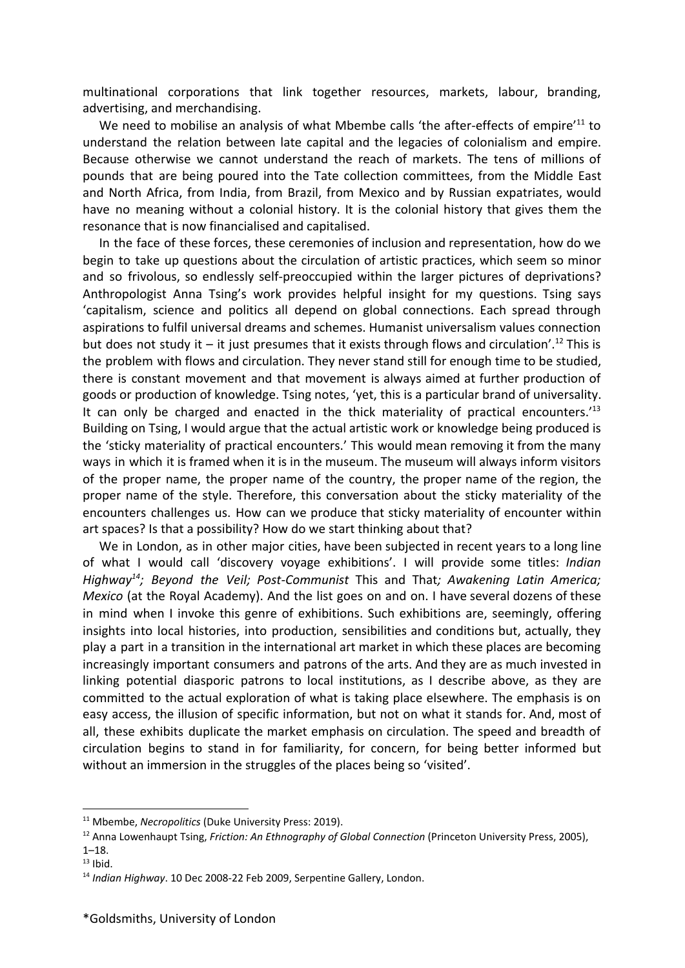multinational corporations that link together resources, markets, labour, branding, advertising, and merchandising.

We need to mobilise an analysis of what Mbembe calls 'the after-effects of empire'<sup>11</sup> to understand the relation between late capital and the legacies of colonialism and empire. Because otherwise we cannot understand the reach of markets. The tens of millions of pounds that are being poured into the Tate collection committees, from the Middle East and North Africa, from India, from Brazil, from Mexico and by Russian expatriates, would have no meaning without a colonial history. It is the colonial history that gives them the resonance that is now financialised and capitalised.

In the face of these forces, these ceremonies of inclusion and representation, how do we begin to take up questions about the circulation of artistic practices, which seem so minor and so frivolous, so endlessly self-preoccupied within the larger pictures of deprivations? Anthropologist Anna Tsing's work provides helpful insight for my questions. Tsing says 'capitalism, science and politics all depend on global connections. Each spread through aspirations to fulfil universal dreams and schemes. Humanist universalism values connection but does not study it – it just presumes that it exists through flows and circulation'.<sup>12</sup> This is the problem with flows and circulation. They never stand still for enough time to be studied, there is constant movement and that movement is always aimed at further production of goods or production of knowledge. Tsing notes, 'yet, this is a particular brand of universality. It can only be charged and enacted in the thick materiality of practical encounters.<sup>13</sup> Building on Tsing, I would argue that the actual artistic work or knowledge being produced is the 'sticky materiality of practical encounters.' This would mean removing it from the many ways in which it is framed when it is in the museum. The museum will always inform visitors of the proper name, the proper name of the country, the proper name of the region, the proper name of the style. Therefore, this conversation about the sticky materiality of the encounters challenges us. How can we produce that sticky materiality of encounter within art spaces? Is that a possibility? How do we start thinking about that?

We in London, as in other major cities, have been subjected in recent years to a long line of what I would call 'discovery voyage exhibitions'. I will provide some titles: *Indian Highway<sup>14</sup> ; Beyond the Veil; Post-Communist* This and That*; Awakening Latin America; Mexico* (at the Royal Academy). And the list goes on and on. I have several dozens of these in mind when I invoke this genre of exhibitions. Such exhibitions are, seemingly, offering insights into local histories, into production, sensibilities and conditions but, actually, they play a part in a transition in the international art market in which these places are becoming increasingly important consumers and patrons of the arts. And they are as much invested in linking potential diasporic patrons to local institutions, as I describe above, as they are committed to the actual exploration of what is taking place elsewhere. The emphasis is on easy access, the illusion of specific information, but not on what it stands for. And, most of all, these exhibits duplicate the market emphasis on circulation. The speed and breadth of circulation begins to stand in for familiarity, for concern, for being better informed but without an immersion in the struggles of the places being so 'visited'.

<sup>11</sup> Mbembe, *Necropolitics* (Duke University Press: 2019).

<sup>12</sup> Anna Lowenhaupt Tsing, *Friction: An Ethnography of Global Connection* (Princeton University Press, 2005), 1–18.

 $13$  Ibid.

<sup>14</sup> *Indian Highway*. 10 Dec 2008-22 Feb 2009, Serpentine Gallery, London.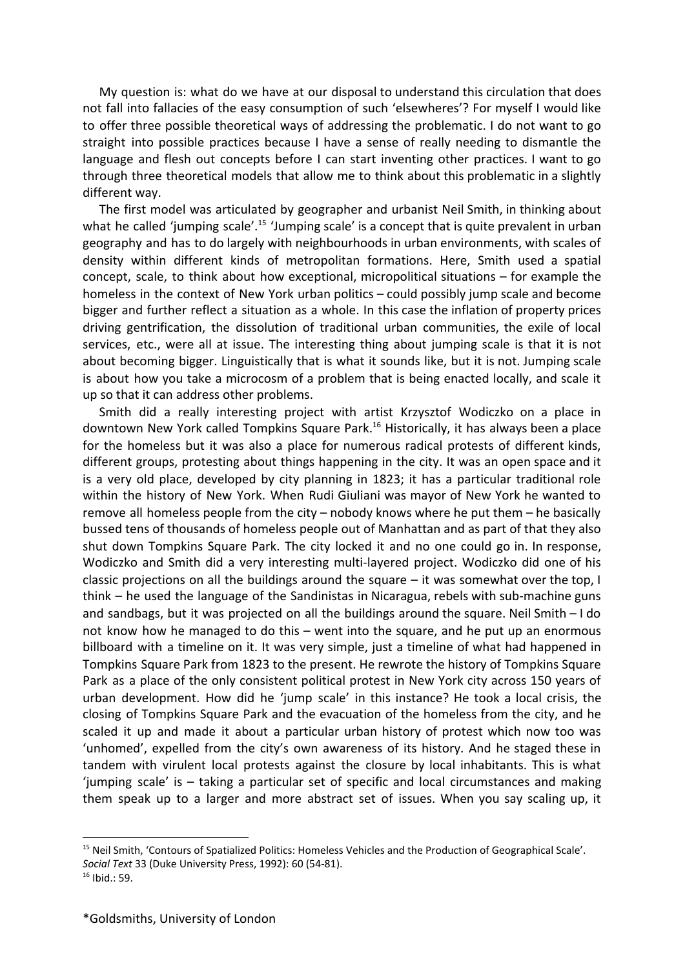My question is: what do we have at our disposal to understand this circulation that does not fall into fallacies of the easy consumption of such 'elsewheres'? For myself I would like to offer three possible theoretical ways of addressing the problematic. I do not want to go straight into possible practices because I have a sense of really needing to dismantle the language and flesh out concepts before I can start inventing other practices. I want to go through three theoretical models that allow me to think about this problematic in a slightly different way.

The first model was articulated by geographer and urbanist Neil Smith, in thinking about what he called 'jumping scale'.<sup>15</sup> 'Jumping scale' is a concept that is quite prevalent in urban geography and has to do largely with neighbourhoods in urban environments, with scales of density within different kinds of metropolitan formations. Here, Smith used a spatial concept, scale, to think about how exceptional, micropolitical situations – for example the homeless in the context of New York urban politics – could possibly jump scale and become bigger and further reflect a situation as a whole. In this case the inflation of property prices driving gentrification, the dissolution of traditional urban communities, the exile of local services, etc., were all at issue. The interesting thing about jumping scale is that it is not about becoming bigger. Linguistically that is what it sounds like, but it is not. Jumping scale is about how you take a microcosm of a problem that is being enacted locally, and scale it up so that it can address other problems.

Smith did a really interesting project with artist Krzysztof Wodiczko on a place in downtown New York called Tompkins Square Park.<sup>16</sup> Historically, it has always been a place for the homeless but it was also a place for numerous radical protests of different kinds, different groups, protesting about things happening in the city. It was an open space and it is a very old place, developed by city planning in 1823; it has a particular traditional role within the history of New York. When Rudi Giuliani was mayor of New York he wanted to remove all homeless people from the city – nobody knows where he put them – he basically bussed tens of thousands of homeless people out of Manhattan and as part of that they also shut down Tompkins Square Park. The city locked it and no one could go in. In response, Wodiczko and Smith did a very interesting multi-layered project. Wodiczko did one of his classic projections on all the buildings around the square – it was somewhat over the top, I think – he used the language of the Sandinistas in Nicaragua, rebels with sub-machine guns and sandbags, but it was projected on all the buildings around the square. Neil Smith – I do not know how he managed to do this – went into the square, and he put up an enormous billboard with a timeline on it. It was very simple, just a timeline of what had happened in Tompkins Square Park from 1823 to the present. He rewrote the history of Tompkins Square Park as a place of the only consistent political protest in New York city across 150 years of urban development. How did he 'jump scale' in this instance? He took a local crisis, the closing of Tompkins Square Park and the evacuation of the homeless from the city, and he scaled it up and made it about a particular urban history of protest which now too was 'unhomed', expelled from the city's own awareness of its history. And he staged these in tandem with virulent local protests against the closure by local inhabitants. This is what 'jumping scale' is – taking a particular set of specific and local circumstances and making them speak up to a larger and more abstract set of issues. When you say scaling up, it

<sup>&</sup>lt;sup>15</sup> Neil Smith, 'Contours of Spatialized Politics: Homeless Vehicles and the Production of Geographical Scale'. *Social Text* 33 (Duke University Press, 1992): 60 (54-81).

<sup>16</sup> Ibid.: 59.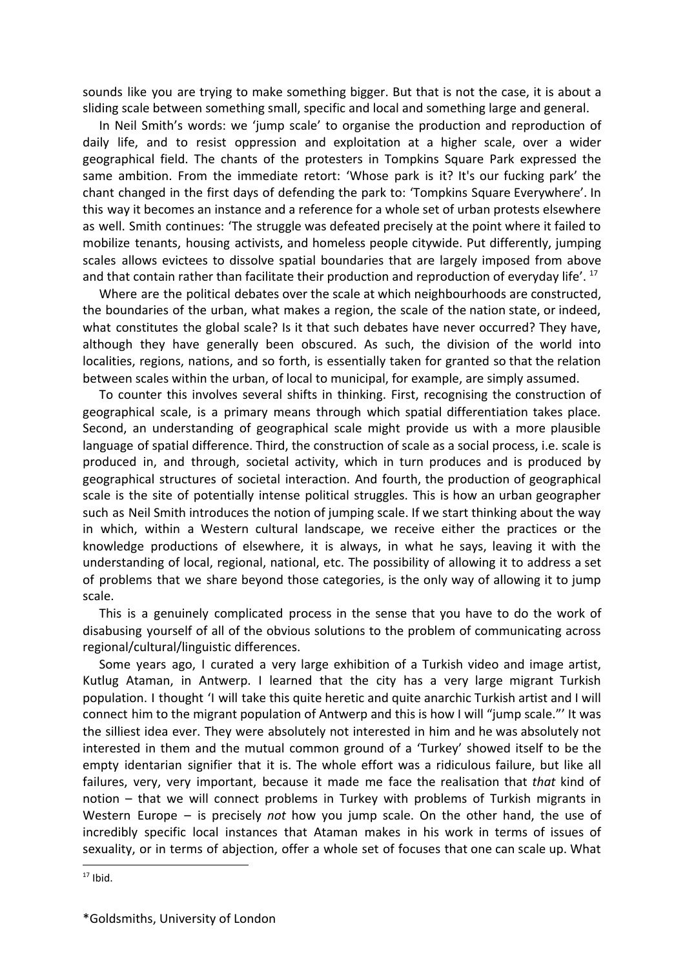sounds like you are trying to make something bigger. But that is not the case, it is about a sliding scale between something small, specific and local and something large and general.

In Neil Smith's words: we 'jump scale' to organise the production and reproduction of daily life, and to resist oppression and exploitation at a higher scale, over a wider geographical field. The chants of the protesters in Tompkins Square Park expressed the same ambition. From the immediate retort: 'Whose park is it? It's our fucking park' the chant changed in the first days of defending the park to: 'Tompkins Square Everywhere'. In this way it becomes an instance and a reference for a whole set of urban protests elsewhere as well. Smith continues: 'The struggle was defeated precisely at the point where it failed to mobilize tenants, housing activists, and homeless people citywide. Put differently, jumping scales allows evictees to dissolve spatial boundaries that are largely imposed from above and that contain rather than facilitate their production and reproduction of everyday life'. <sup>17</sup>

Where are the political debates over the scale at which neighbourhoods are constructed, the boundaries of the urban, what makes a region, the scale of the nation state, or indeed, what constitutes the global scale? Is it that such debates have never occurred? They have, although they have generally been obscured. As such, the division of the world into localities, regions, nations, and so forth, is essentially taken for granted so that the relation between scales within the urban, of local to municipal, for example, are simply assumed.

To counter this involves several shifts in thinking. First, recognising the construction of geographical scale, is a primary means through which spatial differentiation takes place. Second, an understanding of geographical scale might provide us with a more plausible language of spatial difference. Third, the construction of scale as a social process, i.e. scale is produced in, and through, societal activity, which in turn produces and is produced by geographical structures of societal interaction. And fourth, the production of geographical scale is the site of potentially intense political struggles. This is how an urban geographer such as Neil Smith introduces the notion of jumping scale. If we start thinking about the way in which, within a Western cultural landscape, we receive either the practices or the knowledge productions of elsewhere, it is always, in what he says, leaving it with the understanding of local, regional, national, etc. The possibility of allowing it to address a set of problems that we share beyond those categories, is the only way of allowing it to jump scale.

This is a genuinely complicated process in the sense that you have to do the work of disabusing yourself of all of the obvious solutions to the problem of communicating across regional/cultural/linguistic differences.

Some years ago, I curated a very large exhibition of a Turkish video and image artist, Kutlug Ataman, in Antwerp. I learned that the city has a very large migrant Turkish population. I thought 'I will take this quite heretic and quite anarchic Turkish artist and I will connect him to the migrant population of Antwerp and this is how I will "jump scale."' It was the silliest idea ever. They were absolutely not interested in him and he was absolutely not interested in them and the mutual common ground of a 'Turkey' showed itself to be the empty identarian signifier that it is. The whole effort was a ridiculous failure, but like all failures, very, very important, because it made me face the realisation that *that* kind of notion – that we will connect problems in Turkey with problems of Turkish migrants in Western Europe – is precisely *not* how you jump scale. On the other hand, the use of incredibly specific local instances that Ataman makes in his work in terms of issues of sexuality, or in terms of abjection, offer a whole set of focuses that one can scale up. What

 $17$  Ibid.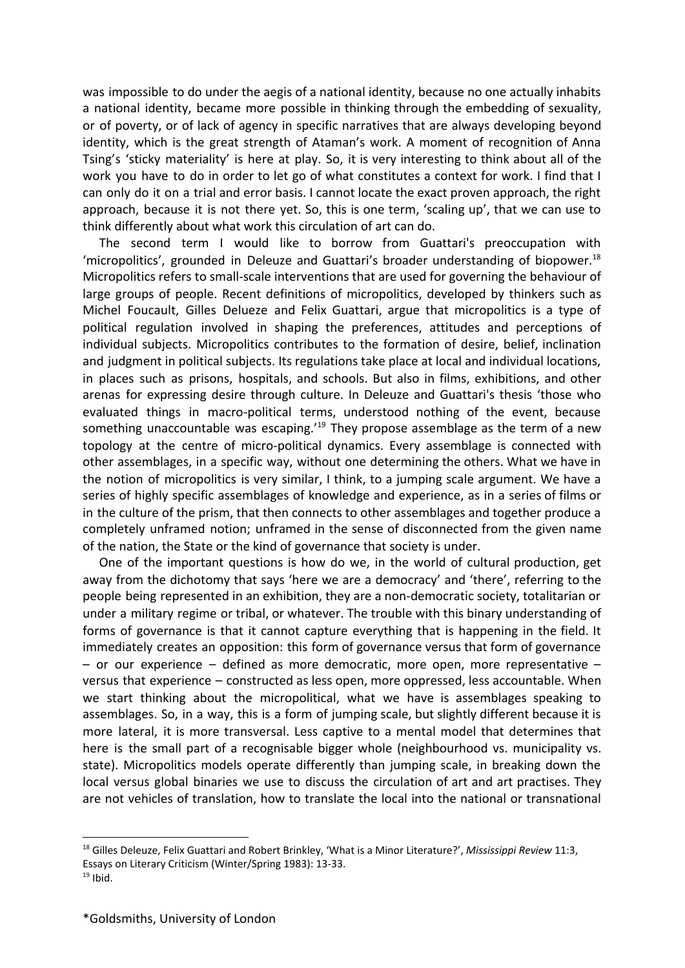was impossible to do under the aegis of a national identity, because no one actually inhabits a national identity, became more possible in thinking through the embedding of sexuality, or of poverty, or of lack of agency in specific narratives that are always developing beyond identity, which is the great strength of Ataman's work. A moment of recognition of Anna Tsing's 'sticky materiality' is here at play. So, it is very interesting to think about all of the work you have to do in order to let go of what constitutes a context for work. I find that I can only do it on a trial and error basis. I cannot locate the exact proven approach, the right approach, because it is not there yet. So, this is one term, 'scaling up', that we can use to think differently about what work this circulation of art can do.

The second term I would like to borrow from Guattari's preoccupation with 'micropolitics', grounded in Deleuze and Guattari's broader understanding of biopower.<sup>18</sup> Micropolitics refers to small-scale interventions that are used for governing the behaviour of large groups of people. Recent definitions of micropolitics, developed by thinkers such as Michel Foucault, Gilles Delueze and Felix Guattari, argue that micropolitics is a type of political regulation involved in shaping the preferences, attitudes and perceptions of individual subjects. Micropolitics contributes to the formation of desire, belief, inclination and judgment in political subjects. Its regulations take place at local and individual locations, in places such as prisons, hospitals, and schools. But also in films, exhibitions, and other arenas for expressing desire through culture. In Deleuze and Guattari's thesis 'those who evaluated things in macro-political terms, understood nothing of the event, because something unaccountable was escaping.<sup>'19</sup> They propose assemblage as the term of a new topology at the centre of micro-political dynamics. Every assemblage is connected with other assemblages, in a specific way, without one determining the others. What we have in the notion of micropolitics is very similar, I think, to a jumping scale argument. We have a series of highly specific assemblages of knowledge and experience, as in a series of films or in the culture of the prism, that then connects to other assemblages and together produce a completely unframed notion; unframed in the sense of disconnected from the given name of the nation, the State or the kind of governance that society is under.

One of the important questions is how do we, in the world of cultural production, get away from the dichotomy that says 'here we are a democracy' and 'there', referring to the people being represented in an exhibition, they are a non-democratic society, totalitarian or under a military regime or tribal, or whatever. The trouble with this binary understanding of forms of governance is that it cannot capture everything that is happening in the field. It immediately creates an opposition: this form of governance versus that form of governance – or our experience – defined as more democratic, more open, more representative – versus that experience – constructed as less open, more oppressed, less accountable. When we start thinking about the micropolitical, what we have is assemblages speaking to assemblages. So, in a way, this is a form of jumping scale, but slightly different because it is more lateral, it is more transversal. Less captive to a mental model that determines that here is the small part of a recognisable bigger whole (neighbourhood vs. municipality vs. state). Micropolitics models operate differently than jumping scale, in breaking down the local versus global binaries we use to discuss the circulation of art and art practises. They are not vehicles of translation, how to translate the local into the national or transnational

<sup>18</sup> Gilles Deleuze, Felix Guattari and Robert Brinkley, 'What is a Minor Literature?', *Mississippi Review* 11:3, Essays on Literary Criticism (Winter/Spring 1983): 13-33.

 $19$  Ibid.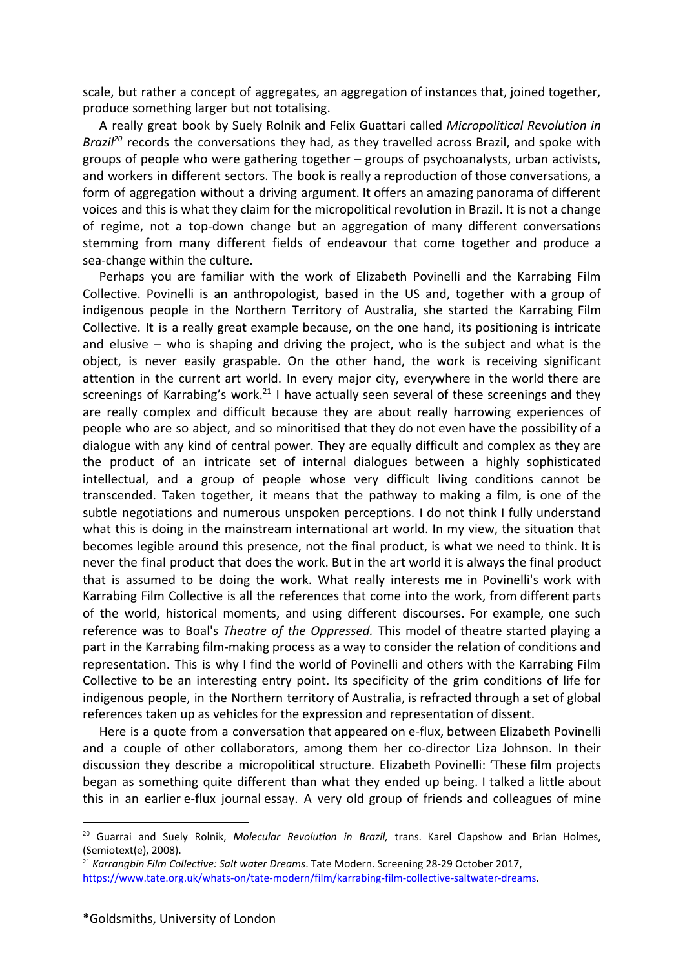scale, but rather a concept of aggregates, an aggregation of instances that, joined together, produce something larger but not totalising.

A really great book by Suely Rolnik and Felix Guattari called *Micropolitical Revolution in Brazil<sup>20</sup>* records the conversations they had, as they travelled across Brazil, and spoke with groups of people who were gathering together – groups of psychoanalysts, urban activists, and workers in different sectors. The book is really a reproduction of those conversations, a form of aggregation without a driving argument. It offers an amazing panorama of different voices and this is what they claim for the micropolitical revolution in Brazil. It is not a change of regime, not a top-down change but an aggregation of many different conversations stemming from many different fields of endeavour that come together and produce a sea-change within the culture.

Perhaps you are familiar with the work of Elizabeth Povinelli and the Karrabing Film Collective. Povinelli is an anthropologist, based in the US and, together with a group of indigenous people in the Northern Territory of Australia, she started the Karrabing Film Collective. It is a really great example because, on the one hand, its positioning is intricate and elusive – who is shaping and driving the project, who is the subject and what is the object, is never easily graspable. On the other hand, the work is receiving significant attention in the current art world. In every major city, everywhere in the world there are screenings of Karrabing's work.<sup>21</sup> I have actually seen several of these screenings and they are really complex and difficult because they are about really harrowing experiences of people who are so abject, and so minoritised that they do not even have the possibility of a dialogue with any kind of central power. They are equally difficult and complex as they are the product of an intricate set of internal dialogues between a highly sophisticated intellectual, and a group of people whose very difficult living conditions cannot be transcended. Taken together, it means that the pathway to making a film, is one of the subtle negotiations and numerous unspoken perceptions. I do not think I fully understand what this is doing in the mainstream international art world. In my view, the situation that becomes legible around this presence, not the final product, is what we need to think. It is never the final product that does the work. But in the art world it is always the final product that is assumed to be doing the work. What really interests me in Povinelli's work with Karrabing Film Collective is all the references that come into the work, from different parts of the world, historical moments, and using different discourses. For example, one such reference was to Boal's *Theatre of the Oppressed.* This model of theatre started playing a part in the Karrabing film-making process as a way to consider the relation of conditions and representation. This is why I find the world of Povinelli and others with the Karrabing Film Collective to be an interesting entry point. Its specificity of the grim conditions of life for indigenous people, in the Northern territory of Australia, is refracted through a set of global references taken up as vehicles for the expression and representation of dissent.

Here is a quote from a conversation that appeared on e-flux, between Elizabeth Povinelli and a couple of other collaborators, among them her co-director Liza Johnson. In their discussion they describe a micropolitical structure. Elizabeth Povinelli: 'These film projects began as something quite different than what they ended up being. I talked a little about this in an earlier e-flux journal essay. A very old group of friends and colleagues of mine

<sup>20</sup> Guarrai and Suely Rolnik, *Molecular Revolution in Brazil,* trans. Karel Clapshow and Brian Holmes, (Semiotext(e), 2008).

<sup>21</sup> *Karrangbin Film Collective: Salt water Dreams*. Tate Modern. Screening 28-29 October 2017, [https://www.tate.org.uk/whats-on/tate-modern/film/karrabing-film-collective-saltwater-dreams.](https://www.tate.org.uk/whats-on/tate-modern/film/karrabing-film-collective-saltwater-dreams)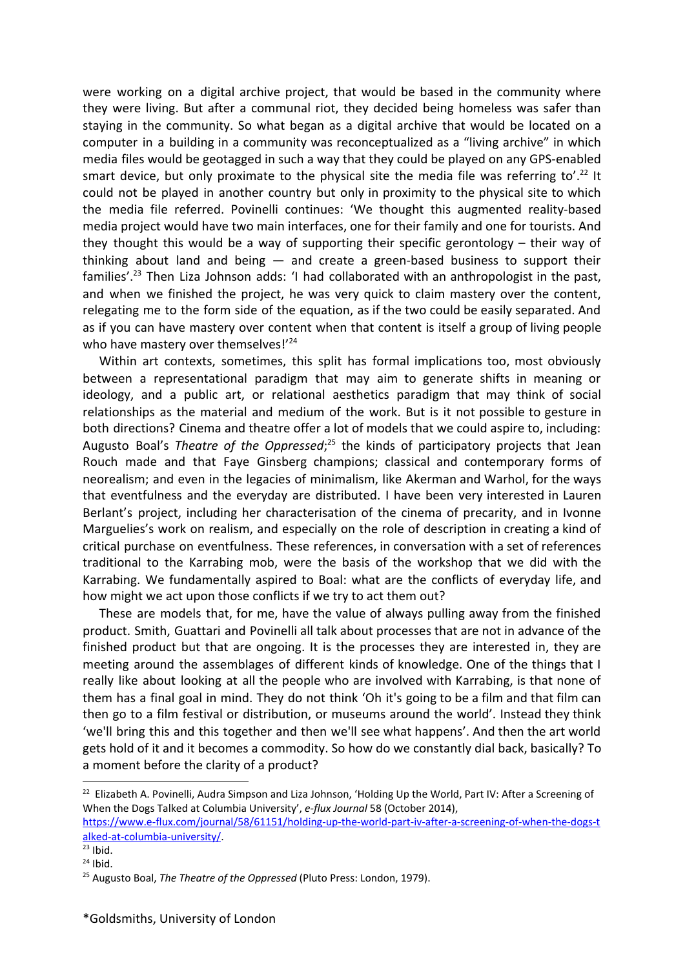were working on a digital archive project, that would be based in the community where they were living. But after a communal riot, they decided being homeless was safer than staying in the community. So what began as a digital archive that would be located on a computer in a building in a community was reconceptualized as a "living archive" in which media files would be geotagged in such a way that they could be played on any GPS-enabled smart device, but only proximate to the physical site the media file was referring to'.<sup>22</sup> It could not be played in another country but only in proximity to the physical site to which the media file referred. Povinelli continues: 'We thought this augmented reality-based media project would have two main interfaces, one for their family and one for tourists. And they thought this would be a way of supporting their specific gerontology – their way of thinking about land and being  $-$  and create a green-based business to support their families'.<sup>23</sup> Then Liza Johnson adds: 'I had collaborated with an anthropologist in the past, and when we finished the project, he was very quick to claim mastery over the content, relegating me to the form side of the equation, as if the two could be easily separated. And as if you can have mastery over content when that content is itself a group of living people who have mastery over themselves!'<sup>24</sup>

Within art contexts, sometimes, this split has formal implications too, most obviously between a representational paradigm that may aim to generate shifts in meaning or ideology, and a public art, or relational aesthetics paradigm that may think of social relationships as the material and medium of the work. But is it not possible to gesture in both directions? Cinema and theatre offer a lot of models that we could aspire to, including: Augusto Boal's *Theatre of the Oppressed*;<sup>25</sup> the kinds of participatory projects that Jean Rouch made and that Faye Ginsberg champions; classical and contemporary forms of neorealism; and even in the legacies of minimalism, like Akerman and Warhol, for the ways that eventfulness and the everyday are distributed. I have been very interested in Lauren Berlant's project, including her characterisation of the cinema of precarity, and in Ivonne Marguelies's work on realism, and especially on the role of description in creating a kind of critical purchase on eventfulness. These references, in conversation with a set of references traditional to the Karrabing mob, were the basis of the workshop that we did with the Karrabing. We fundamentally aspired to Boal: what are the conflicts of everyday life, and how might we act upon those conflicts if we try to act them out?

These are models that, for me, have the value of always pulling away from the finished product. Smith, Guattari and Povinelli all talk about processes that are not in advance of the finished product but that are ongoing. It is the processes they are interested in, they are meeting around the assemblages of different kinds of knowledge. One of the things that I really like about looking at all the people who are involved with Karrabing, is that none of them has a final goal in mind. They do not think 'Oh it's going to be a film and that film can then go to a film festival or distribution, or museums around the world'. Instead they think 'we'll bring this and this together and then we'll see what happens'. And then the art world gets hold of it and it becomes a commodity. So how do we constantly dial back, basically? To a moment before the clarity of a product?

 $22$  Elizabeth A. Povinelli, Audra Simpson and Liza Johnson, 'Holding Up the World, Part IV: After a Screening of When the Dogs Talked at Columbia University', *e-flux Journal* 58 (October 2014),

[https://www.e-flux.com/journal/58/61151/holding-up-the-world-part-iv-after-a-screening-of-when-the-dogs-t](https://www.e-flux.com/journal/58/61151/holding-up-the-world-part-iv-after-a-screening-of-when-the-dogs-talked-at-columbia-university/) [alked-at-columbia-university/](https://www.e-flux.com/journal/58/61151/holding-up-the-world-part-iv-after-a-screening-of-when-the-dogs-talked-at-columbia-university/).

 $23$  Ibid.

 $24$  Ibid.

<sup>25</sup> Augusto Boal, *The Theatre of the Oppressed* (Pluto Press: London, 1979).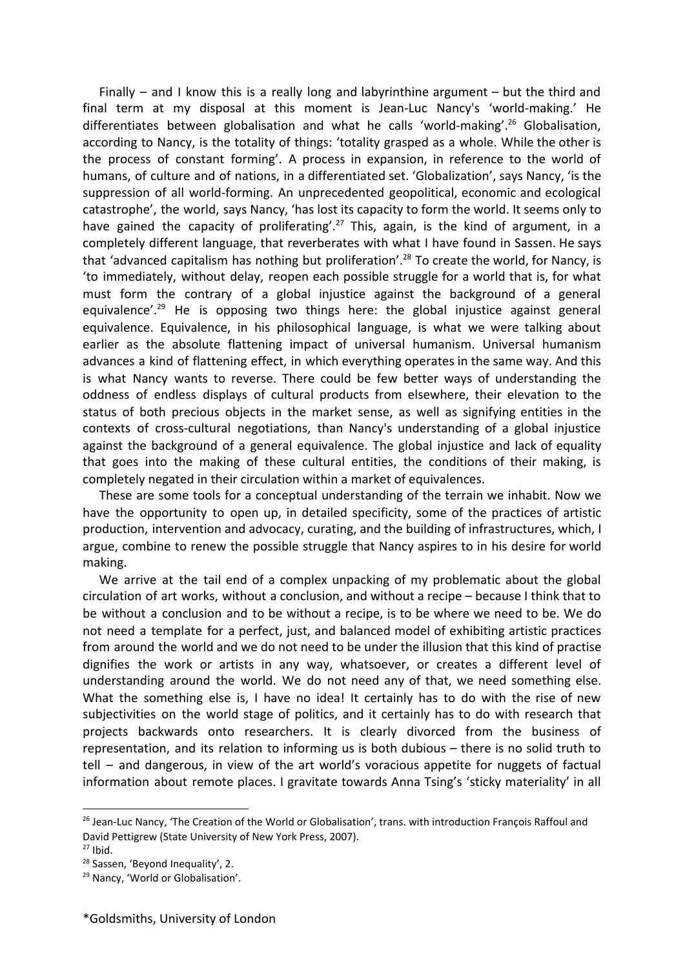Finally – and I know this is a really long and labyrinthine argument – but the third and final term at my disposal at this moment is Jean-Luc Nancy's 'world-making.' He differentiates between globalisation and what he calls 'world-making'.<sup>26</sup> Globalisation, according to Nancy, is the totality of things: 'totality grasped as a whole. While the other is the process of constant forming'. A process in expansion, in reference to the world of humans, of culture and of nations, in a differentiated set. 'Globalization', says Nancy, 'is the suppression of all world-forming. An unprecedented geopolitical, economic and ecological catastrophe', the world, says Nancy, 'has lost its capacity to form the world. It seems only to have gained the capacity of proliferating'.<sup>27</sup> This, again, is the kind of argument, in a completely different language, that reverberates with what I have found in Sassen. He says that 'advanced capitalism has nothing but proliferation'.<sup>28</sup> To create the world, for Nancy, is 'to immediately, without delay, reopen each possible struggle for a world that is, for what must form the contrary of a global injustice against the background of a general equivalence'.<sup>29</sup> He is opposing two things here: the global injustice against general equivalence. Equivalence, in his philosophical language, is what we were talking about earlier as the absolute flattening impact of universal humanism. Universal humanism advances a kind of flattening effect, in which everything operates in the same way. And this is what Nancy wants to reverse. There could be few better ways of understanding the oddness of endless displays of cultural products from elsewhere, their elevation to the status of both precious objects in the market sense, as well as signifying entities in the contexts of cross-cultural negotiations, than Nancy's understanding of a global injustice against the background of a general equivalence. The global injustice and lack of equality that goes into the making of these cultural entities, the conditions of their making, is completely negated in their circulation within a market of equivalences.

These are some tools for a conceptual understanding of the terrain we inhabit. Now we have the opportunity to open up, in detailed specificity, some of the practices of artistic production, intervention and advocacy, curating, and the building of infrastructures, which, I argue, combine to renew the possible struggle that Nancy aspires to in his desire for world making.

We arrive at the tail end of a complex unpacking of my problematic about the global circulation of art works, without a conclusion, and without a recipe – because I think that to be without a conclusion and to be without a recipe, is to be where we need to be. We do not need a template for a perfect, just, and balanced model of exhibiting artistic practices from around the world and we do not need to be under the illusion that this kind of practise dignifies the work or artists in any way, whatsoever, or creates a different level of understanding around the world. We do not need any of that, we need something else. What the something else is, I have no idea! It certainly has to do with the rise of new subjectivities on the world stage of politics, and it certainly has to do with research that projects backwards onto researchers. It is clearly divorced from the business of representation, and its relation to informing us is both dubious – there is no solid truth to tell – and dangerous, in view of the art world's voracious appetite for nuggets of factual information about remote places. I gravitate towards Anna Tsing's 'sticky materiality' in all

<sup>&</sup>lt;sup>26</sup> Jean-Luc Nancy, 'The Creation of the World or Globalisation', trans. with introduction François Raffoul and David Pettigrew (State University of New York Press, 2007).  $27$  Ibid.

<sup>&</sup>lt;sup>28</sup> Sassen, 'Beyond Inequality', 2.

<sup>&</sup>lt;sup>29</sup> Nancy, 'World or Globalisation'.